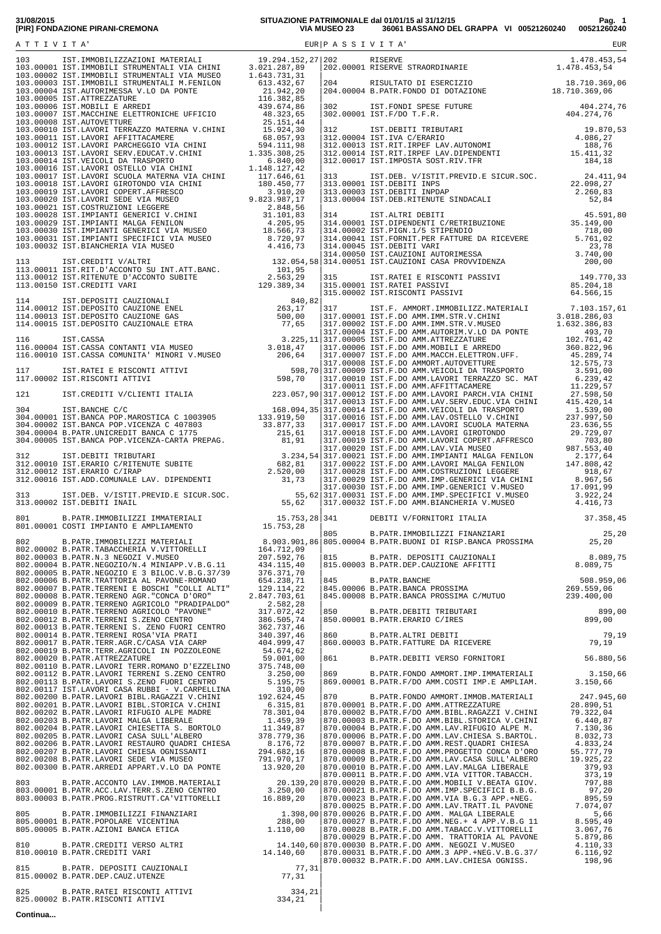## **31/08/2015 SITUAZIONE PATRIMONIALE dal 01/01/15 al 31/12/15 Pag. 1 [PIR] FONDAZIONE PIRANI-CREMONA VIA MUSEO 23 36061 BASSANO DEL GRAPPA VI 00521260240 00521260240**

|          |  | $\begin{array}{ l l l } \hline 815 & \quad B.PART. DEPOSITION CLI CAUTONALL & \quad \qquad 8.089 \,, 75 \\ \hline 815.00003 & B.PART. DEF.CAUZIONE ARFITTI & \quad \qquad 8.089 \,, 75 \\ \hline \end{array}$                                                                                                     |  |
|----------|--|-------------------------------------------------------------------------------------------------------------------------------------------------------------------------------------------------------------------------------------------------------------------------------------------------------------------|--|
|          |  |                                                                                                                                                                                                                                                                                                                   |  |
|          |  |                                                                                                                                                                                                                                                                                                                   |  |
|          |  | $\begin{array}{ l l l } \hline 850 & \text{B.PART. DEBITI TRIBUTARI} & \text{899,00} \\ \hline 850.00001 & \text{B.PART. ERARIO C/IRES} & \text{899,00} \\ \hline 860 & \text{B.PART. ALTRI DEBITI} & \text{79,19} \\ \hline 860.00003 & \text{B.PART. FATTURE DA RICEVERE} & \text{79,19} \\ \hline \end{array}$ |  |
|          |  |                                                                                                                                                                                                                                                                                                                   |  |
|          |  |                                                                                                                                                                                                                                                                                                                   |  |
|          |  |                                                                                                                                                                                                                                                                                                                   |  |
|          |  |                                                                                                                                                                                                                                                                                                                   |  |
|          |  |                                                                                                                                                                                                                                                                                                                   |  |
|          |  |                                                                                                                                                                                                                                                                                                                   |  |
|          |  |                                                                                                                                                                                                                                                                                                                   |  |
|          |  |                                                                                                                                                                                                                                                                                                                   |  |
|          |  |                                                                                                                                                                                                                                                                                                                   |  |
|          |  |                                                                                                                                                                                                                                                                                                                   |  |
|          |  |                                                                                                                                                                                                                                                                                                                   |  |
|          |  |                                                                                                                                                                                                                                                                                                                   |  |
| Continua |  |                                                                                                                                                                                                                                                                                                                   |  |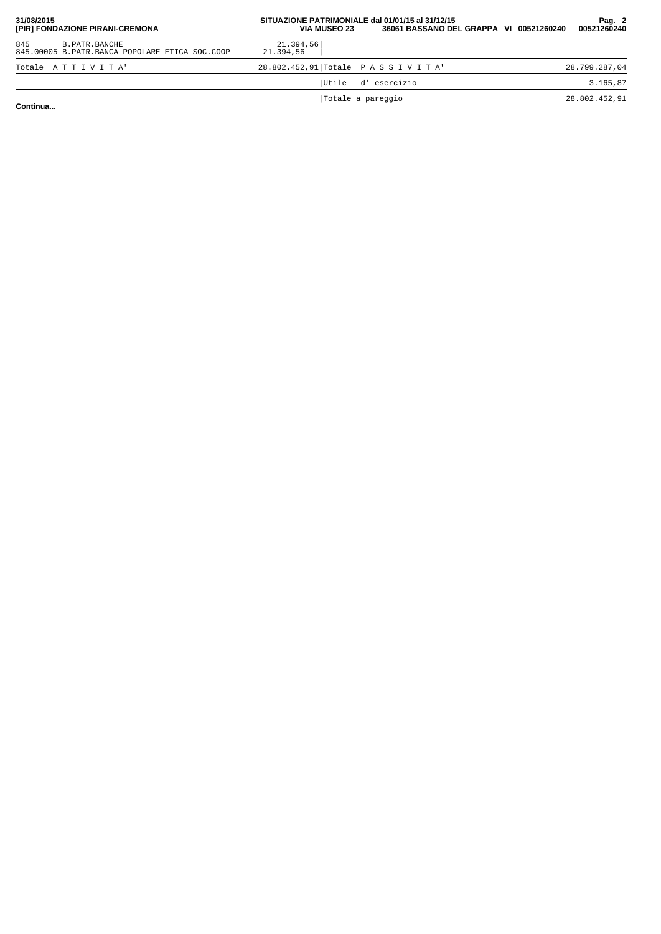| 31/08/2015<br>[PIR] FONDAZIONE PIRANI-CREMONA                            | SITUAZIONE PATRIMONIALE dal 01/01/15 al 31/12/15<br>36061 BASSANO DEL GRAPPA VI 00521260240<br><b>VIA MUSEO 23</b> | Pag. 2<br>00521260240 |
|--------------------------------------------------------------------------|--------------------------------------------------------------------------------------------------------------------|-----------------------|
| 845<br>B. PATR. BANCHE<br>845.00005 B.PATR.BANCA POPOLARE ETICA SOC.COOP | 21.394,56<br>21.394.56                                                                                             |                       |
| Totale ATTIVITA'                                                         | 28.802.452,91 Totale PASSIVITA'                                                                                    | 28.799.287,04         |
|                                                                          | Utile d'esercizio                                                                                                  | 3.165,87              |
| .                                                                        | Totale a pareggio                                                                                                  | 28.802.452,91         |

**Continua...**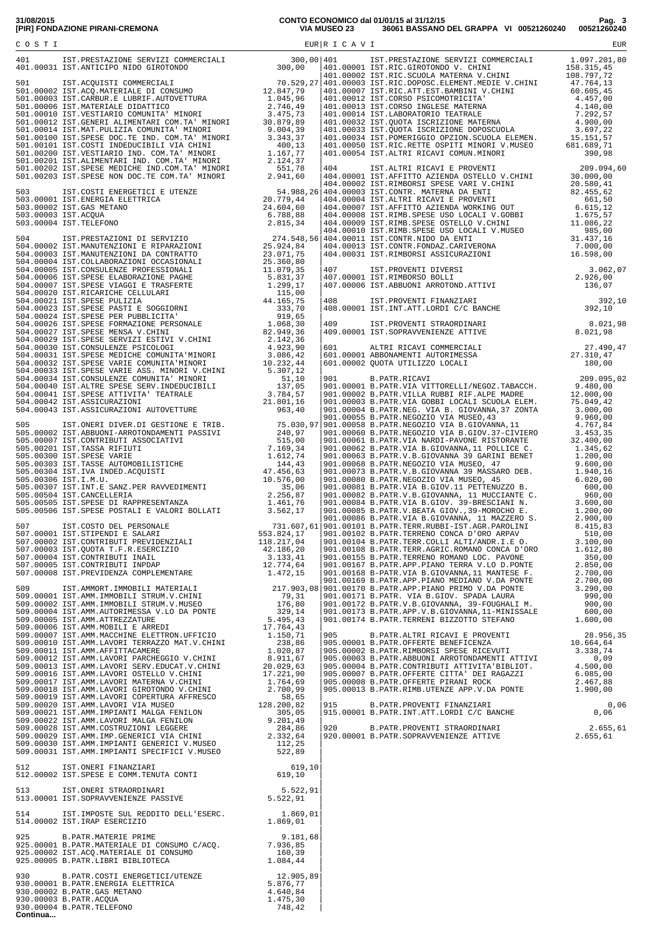|  | 31/08/2015 |                                 |
|--|------------|---------------------------------|
|  |            | [PIR] FONDAZIONE PIRANI-CREMONA |

**31/08/2015 CONTO ECONOMICO dal 01/01/15 al 31/12/15 Pag. 3 [PIR] FONDAZIONE PIRANI-CREMONA VIA MUSEO 23 36061 BASSANO DEL GRAPPA VI 00521260240 00521260240**

|  |  | $\begin{array}{ l l l } \hline 407 & \text{IST.PROVENTI DIVERSI} & 3.062,07 \\ 407.00001 & \text{IST.RIMBORSO BOLLI} & 2.926,00 \\ 407.00006 & \text{IST.RBBUONI ARROTOND.ATTTVI} & 136,07 \\ 408 & \text{IST.PROVENTI FINANZIARI} & 392,10 \\ \hline \end{array}$ |  |
|--|--|--------------------------------------------------------------------------------------------------------------------------------------------------------------------------------------------------------------------------------------------------------------------|--|
|  |  |                                                                                                                                                                                                                                                                    |  |
|  |  |                                                                                                                                                                                                                                                                    |  |
|  |  |                                                                                                                                                                                                                                                                    |  |
|  |  |                                                                                                                                                                                                                                                                    |  |
|  |  |                                                                                                                                                                                                                                                                    |  |
|  |  |                                                                                                                                                                                                                                                                    |  |
|  |  |                                                                                                                                                                                                                                                                    |  |
|  |  |                                                                                                                                                                                                                                                                    |  |
|  |  | 909.00013 B.FAIR.RROVENTI FINANZIARI<br>915.00001 B.PATR.INT.ATT.LORDI C/C BANCHE 0,06                                                                                                                                                                             |  |
|  |  |                                                                                                                                                                                                                                                                    |  |
|  |  |                                                                                                                                                                                                                                                                    |  |
|  |  |                                                                                                                                                                                                                                                                    |  |
|  |  |                                                                                                                                                                                                                                                                    |  |
|  |  |                                                                                                                                                                                                                                                                    |  |